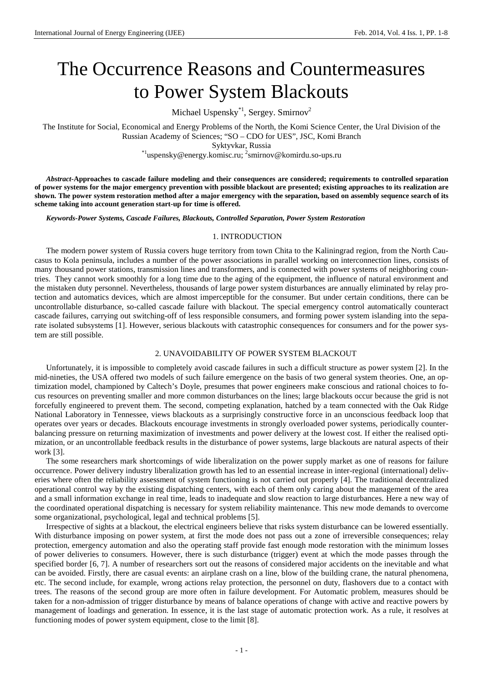# The Occurrence Reasons and Countermeasures to Power System Blackouts

Michael Uspensky<sup>\*1</sup>, Sergey. Smirnov<sup>2</sup>

The Institute for Social, Economical and Energy Problems of the North, the Komi Science Center, the Ural Division of the Russian Academy of Sciences; "SO – CDO for UES", JSC, Komi Branch Syktyvkar, Russia \*1uspensky@energy.komisc.ru; 2 smirnov@komirdu.so-ups.ru

*Abstract***-Approaches to cascade failure modeling and their consequences are considered; requirements to controlled separation of power systems for the major emergency prevention with possible blackout are presented; existing approaches to its realization are shown. The power system restoration method after a major emergency with the separation, based on assembly sequence search of its scheme taking into account generation start-up for time is offered.**

*Keywords-Power Systems, Cascade Failures, Blackouts, Controlled Separation, Power System Restoration*

#### 1. INTRODUCTION

The modern power system of Russia covers huge territory from town Chita to the Kaliningrad region, from the North Caucasus to Kola peninsula, includes a number of the power associations in parallel working on interconnection lines, consists of many thousand power stations, transmission lines and transformers, and is connected with power systems of neighboring countries. They cannot work smoothly for a long time due to the aging of the equipment, the influence of natural environment and the mistaken duty personnel. Nevertheless, thousands of large power system disturbances are annually eliminated by relay protection and automatics devices, which are almost imperceptible for the consumer. But under certain conditions, there can be uncontrollable disturbance, so-called cascade failure with blackout. The special emergency control automatically counteract cascade failures, carrying out switching-off of less responsible consumers, and forming power system islanding into the separate isolated subsystems [1]. However, serious blackouts with catastrophic consequences for consumers and for the power system are still possible.

# 2. UNAVOIDABILITY OF POWER SYSTEM BLACKOUT

Unfortunately, it is impossible to completely avoid cascade failures in such a difficult structure as power system [2]. In the mid-nineties, the USA offered two models of such failure emergence on the basis of two general system theories. One, an optimization model, championed by Caltech's Doyle, presumes that power engineers make conscious and rational choices to focus resources on preventing smaller and more common disturbances on the lines; large blackouts occur because the grid is not forcefully engineered to prevent them. The second, competing explanation, hatched by a team connected with the Oak Ridge National Laboratory in Tennessee, views blackouts as a surprisingly constructive force in an unconscious feedback loop that operates over years or decades. Blackouts encourage investments in strongly overloaded power systems, periodically counterbalancing pressure on returning maximization of investments and power delivery at the lowest cost. If either the realised optimization, or an uncontrollable feedback results in the disturbance of power systems, large blackouts are natural aspects of their work [3].

The some researchers mark shortcomings of wide liberalization on the power supply market as one of reasons for failure occurrence. Power delivery industry liberalization growth has led to an essential increase in inter-regional (international) deliveries where often the reliability assessment of system functioning is not carried out properly [4]. The traditional decentralized operational control way by the existing dispatching centers, with each of them only caring about the management of the area and a small information exchange in real time, leads to inadequate and slow reaction to large disturbances. Here a new way of the coordinated operational dispatching is necessary for system reliability maintenance. This new mode demands to overcome some organizational, psychological, legal and technical problems [5].

Irrespective of sights at a blackout, the electrical engineers believe that risks system disturbance can be lowered essentially. With disturbance imposing on power system, at first the mode does not pass out a zone of irreversible consequences; relay protection, emergency automation and also the operating staff provide fast enough mode restoration with the minimum losses of power deliveries to consumers. However, there is such disturbance (trigger) event at which the mode passes through the specified border [6, 7]. A number of researchers sort out the reasons of considered major accidents on the inevitable and what can be avoided. Firstly, there are casual events: an airplane crash on a line, blow of the building crane, the natural phenomena, etc. The second include, for example, wrong actions relay protection, the personnel on duty, flashovers due to a contact with trees. The reasons of the second group are more often in failure development. For Automatic problem, measures should be taken for a non-admission of trigger disturbance by means of balance operations of change with active and reactive powers by management of loadings and generation. In essence, it is the last stage of automatic protection work. As a rule, it resolves at functioning modes of power system equipment, close to the limit [8].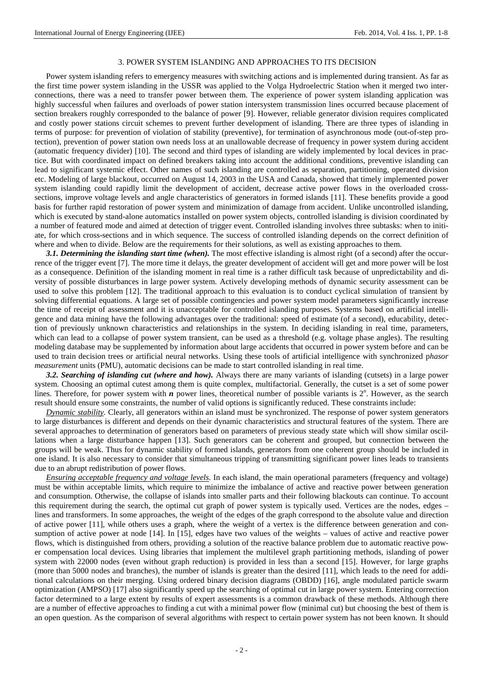### 3. POWER SYSTEM ISLANDING AND APPROACHES TO ITS DECISION

Power system islanding refers to emergency measures with switching actions and is implemented during transient. As far as the first time power system islanding in the USSR was applied to the Volga Hydroelectric Station when it merged two interconnections, there was a need to transfer power between them. The experience of power system islanding application was highly successful when failures and overloads of power station intersystem transmission lines occurred because placement of section breakers roughly corresponded to the balance of power [9]. However, reliable generator division requires complicated and costly power stations circuit schemes to prevent further development of islanding. There are three types of islanding in terms of purpose: for prevention of violation of stability (preventive), for termination of asynchronous mode (out-of-step protection), prevention of power station own needs loss at an unallowable decrease of frequency in power system during accident (automatic frequency divider) [10]. The second and third types of islanding are widely implemented by local devices in practice. But with coordinated impact on defined breakers taking into account the additional conditions, preventive islanding can lead to significant systemic effect. Other names of such islanding are controlled as separation, partitioning, operated division etc. Modeling of large blackout, occurred on August 14, 2003 in the USA and Canada, showed that timely implemented power system islanding could rapidly limit the development of accident, decrease active power flows in the overloaded crosssections, improve voltage levels and angle characteristics of generators in formed islands [11]. These benefits provide a good basis for further rapid restoration of power system and minimization of damage from accident. Unlike uncontrolled islanding, which is executed by stand-alone automatics installed on power system objects, controlled islanding is division coordinated by a number of featured mode and aimed at detection of trigger event. Controlled islanding involves three subtasks: when to initiate, for which cross-sections and in which sequence. The success of controlled islanding depends on the correct definition of where and when to divide. Below are the requirements for their solutions, as well as existing approaches to them.

*3.1. Determining the islanding start time (when).* The most effective islanding is almost right (of a second) after the occurrence of the trigger event [7]. The more time it delays, the greater development of accident will get and more power will be lost as a consequence. Definition of the islanding moment in real time is a rather difficult task because of unpredictability and diversity of possible disturbances in large power system. Actively developing methods of dynamic security assessment can be used to solve this problem [12]. The traditional approach to this evaluation is to conduct cyclical simulation of transient by solving differential equations. A large set of possible contingencies and power system model parameters significantly increase the time of receipt of assessment and it is unacceptable for controlled islanding purposes. Systems based on artificial intelligence and data mining have the following advantages over the traditional: speed of estimate (of a second), educability, detection of previously unknown characteristics and relationships in the system. In deciding islanding in real time, parameters, which can lead to a collapse of power system transient, can be used as a threshold (e.g. voltage phase angles). The resulting modeling database may be supplemented by information about large accidents that occurred in power system before and can be used to train decision trees or artificial neural networks. Using these tools of artificial intelligence with synchronized p*hasor measurement* units (PMU), automatic decisions can be made to start controlled islanding in real time.

*3.2. Searching of islanding cut (where and how).* Always there are many variants of islanding (cutsets) in a large power system. Choosing an optimal cutest among them is quite complex, multifactorial. Generally, the cutset is a set of some power lines. Therefore, for power system with  $n$  power lines, theoretical number of possible variants is  $2^n$ . However, as the search result should ensure some constraints, the number of valid options is significantly reduced. These constraints include:

*Dynamic stability.* Clearly, all generators within an island must be synchronized. The response of power system generators to large disturbances is different and depends on their dynamic characteristics and structural features of the system. There are several approaches to determination of generators based on parameters of previous steady state which will show similar oscillations when a large disturbance happen [13]. Such generators can be coherent and grouped, but connection between the groups will be weak. Thus for dynamic stability of formed islands, generators from one coherent group should be included in one island. It is also necessary to consider that simultaneous tripping of transmitting significant power lines leads to transients due to an abrupt redistribution of power flows.

*Ensuring acceptable frequency and voltage levels*. In each island, the main operational parameters (frequency and voltage) must be within acceptable limits, which require to minimize the imbalance of active and reactive power between generation and consumption. Otherwise, the collapse of islands into smaller parts and their following blackouts can continue. To account this requirement during the search, the optimal cut graph of power system is typically used. Vertices are the nodes, edges – lines and transformers. In some approaches, the weight of the edges of the graph correspond to the absolute value and direction of active power [11], while others uses a graph, where the weight of a vertex is the difference between generation and consumption of active power at node [14]. In [15], edges have two values of the weights – values of active and reactive power flows, which is distinguished from others, providing a solution of the reactive balance problem due to automatic reactive power compensation local devices. Using libraries that implement the multilevel graph partitioning methods, islanding of power system with 22000 nodes (even without graph reduction) is provided in less than a second [15]. However, for large graphs (more than 5000 nodes and branches), the number of islands is greater than the desired [11], which leads to the need for additional calculations on their merging. Using ordered binary decision diagrams (OBDD) [16], angle modulated particle swarm optimization (AMPSO) [17] also significantly speed up the searching of optimal cut in large power system. Entering correction factor determined to a large extent by results of expert assessments is a common drawback of these methods. Although there are a number of effective approaches to finding a cut with a minimal power flow (minimal cut) but choosing the best of them is an open question. As the comparison of several algorithms with respect to certain power system has not been known. It should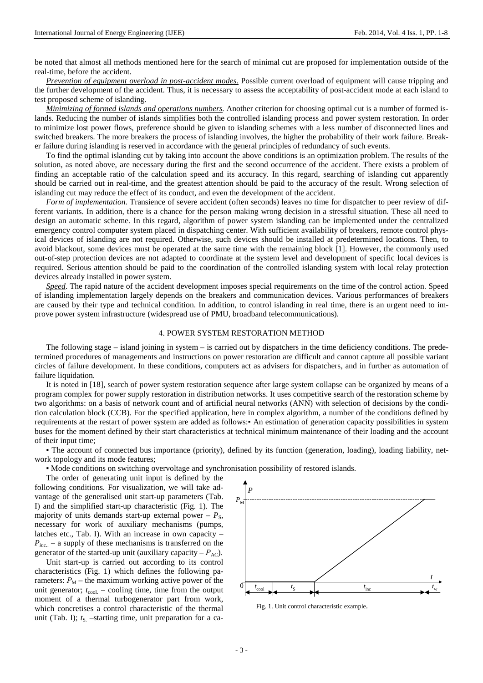be noted that almost all methods mentioned here for the search of minimal cut are proposed for implementation outside of the real-time, before the accident.

*Prevention of equipment overload in post-accident modes.* Possible current overload of equipment will cause tripping and the further development of the accident. Thus, it is necessary to assess the acceptability of post-accident mode at each island to test proposed scheme of islanding.

*Minimizing of formed islands and operations numbers.* Another criterion for choosing optimal cut is a number of formed islands. Reducing the number of islands simplifies both the controlled islanding process and power system restoration. In order to minimize lost power flows, preference should be given to islanding schemes with a less number of disconnected lines and switched breakers. The more breakers the process of islanding involves, the higher the probability of their work failure. Breaker failure during islanding is reserved in accordance with the general principles of redundancy of such events.

To find the optimal islanding cut by taking into account the above conditions is an optimization problem. The results of the solution, as noted above, are necessary during the first and the second occurrence of the accident. There exists a problem of finding an acceptable ratio of the calculation speed and its accuracy. In this regard, searching of islanding cut apparently should be carried out in real-time, and the greatest attention should be paid to the accuracy of the result. Wrong selection of islanding cut may reduce the effect of its conduct, and even the development of the accident.

*Form of implementation.* Transience of severe accident (often seconds) leaves no time for dispatcher to peer review of different variants. In addition, there is a chance for the person making wrong decision in a stressful situation. These all need to design an automatic scheme. In this regard, algorithm of power system islanding can be implemented under the centralized emergency control computer system placed in dispatching center. With sufficient availability of breakers, remote control physical devices of islanding are not required. Otherwise, such devices should be installed at predetermined locations. Then, to avoid blackout, some devices must be operated at the same time with the remaining block [1]. However, the commonly used out-of-step protection devices are not adapted to coordinate at the system level and development of specific local devices is required. Serious attention should be paid to the coordination of the controlled islanding system with local relay protection devices already installed in power system.

*Speed*. The rapid nature of the accident development imposes special requirements on the time of the control action. Speed of islanding implementation largely depends on the breakers and communication devices. Various performances of breakers are caused by their type and technical condition. In addition, to control islanding in real time, there is an urgent need to improve power system infrastructure (widespread use of PMU, broadband telecommunications).

# 4. POWER SYSTEM RESTORATION METHOD

The following stage – island joining in system – is carried out by dispatchers in the time deficiency conditions. The predetermined procedures of managements and instructions on power restoration are difficult and cannot capture all possible variant circles of failure development. In these conditions, computers act as advisers for dispatchers, and in further as automation of failure liquidation.

It is noted in [18], search of power system restoration sequence after large system collapse can be organized by means of a program complex for power supply restoration in distribution networks. It uses competitive search of the restoration scheme by two algorithms: on a basis of network count and of artificial neural networks (ANN) with selection of decisions by the condition calculation block (CCB). For the specified application, here in complex algorithm, a number of the conditions defined by requirements at the restart of power system are added as follows:▪ An estimation of generation capacity possibilities in system buses for the moment defined by their start characteristics at technical minimum maintenance of their loading and the account of their input time;

▪ The account of connected bus importance (priority), defined by its function (generation, loading), loading liability, network topology and its mode features;

▪ Mode conditions on switching overvoltage and synchronisation possibility of restored islands.

The order of generating unit input is defined by the following conditions. For visualization, we will take advantage of the generalised unit start-up parameters (Tab. I) and the simplified start-up characteristic (Fig. 1). The majority of units demands start-up external power  $-P_S$ , necessary for work of auxiliary mechanisms (pumps, latches etc., Tab. I). With an increase in own capacity – *P<sub>inc..</sub>* – a supply of these mechanisms is transferred on the generator of the started-up unit (auxiliary capacity –  $P_{AC}$ ).

Unit start-up is carried out according to its control characteristics (Fig. 1) which defines the following parameters:  $P_M$  – the maximum working active power of the unit generator;  $t_{\text{cool}}$  – cooling time, time from the output moment of a thermal turbogenerator part from work, which concretises a control characteristic of the thermal unit (Tab. I);  $t<sub>S</sub>$  –starting time, unit preparation for a ca-



Fig. 1. Unit control characteristic example.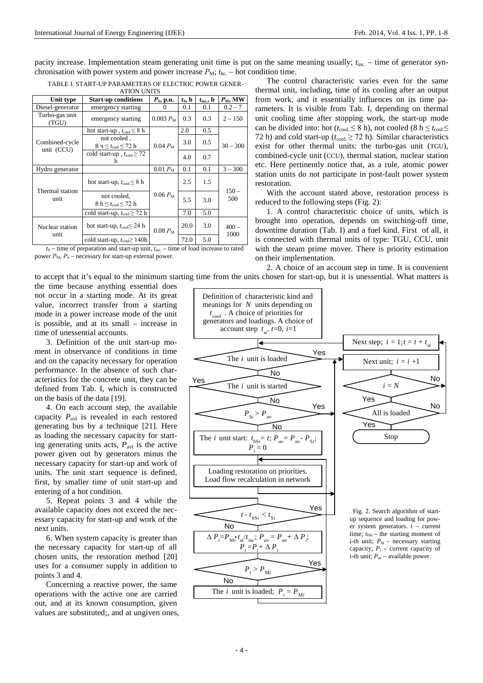pacity increase. Implementation steam generating unit time is put on the same meaning usually;  $t_{\text{inc.}}$  – time of generator synchronisation with power system and power increase  $P_M$ ;  $t_{hc}$  – hot condition time.

| <b>ATION UNITS</b>      |                                                  |                    |                 |                     |                 |  |
|-------------------------|--------------------------------------------------|--------------------|-----------------|---------------------|-----------------|--|
| Unit type               | <b>Start-up conditions</b>                       | $P_{\rm S}$ , p.u. | $t_{\rm S}$ , h | $t_{\text{inc}},$ h | $P_M$ , MW      |  |
| Diesel-generator        | emergency starting                               |                    | 0.1             | 0.1                 | $0.2 - 7$       |  |
| Turbo-gas unit<br>(TGU) | emergency starting                               | $0.003 P_{\rm M}$  | 0.3             | 0.3                 | $2 - 150$       |  |
|                         | hot start-up, $t_{\rm cool} \leq 8$ h            |                    | 2.0             | 0.5                 | $30 - 300$      |  |
| Combined-cycle          | not cooled,<br>8 ч $\leq t_{\rm cool} \leq 72$ h | $0.04 P_M$         | 3.0             | 0.5                 |                 |  |
| unit (CCU)              | cold start-up, $t_{\text{cool}} \geq 72$<br>h    |                    | 4.0             | 0.7                 |                 |  |
| Hydro generator         |                                                  | $0.01 P_{\rm M}$   | 0.1             | 0.1                 | $3 - 300$       |  |
|                         | hot start-up, $t_{\rm cool} \leq 8$ h            |                    | 2.5             | 1.5                 | $150 -$<br>500  |  |
| Thermal station<br>unit | not cooled,<br>$8 h \leq t_{\rm cool} \leq 72 h$ | $0.06 P_{\rm M}$   | 5.5             | 3.0                 |                 |  |
|                         | cold start-up, $t_{\rm cool} \geq 72$ h          |                    | 7.0             | 5.0                 |                 |  |
| Nuclear station<br>unit | hot start-up, $t_{\text{cool}} \leq 24$ h        | $0.08 P_{\rm M}$   | 20.0            | 3.0                 | $400 -$<br>1000 |  |
|                         | cold start-up, $t_{\text{cool}} \geq 140h$       |                    | 72.0            | 5.0                 |                 |  |

| TABLE I. START-UP PARAMETERS OF ELECTRIC POWER GENER- |  |
|-------------------------------------------------------|--|
| A TIONI LINITE                                        |  |

 $t<sub>S</sub>$  – time of preparation and start-up unit,  $t<sub>inc</sub>$  – time of load increase to rated power  $P_M$ ,  $P_n$  – necessary for start-up external power.

The control characteristic varies even for the same thermal unit, including, time of its cooling after an output from work, and it essentially influences on its time parameters. It is visible from Tab. I, depending on thermal unit cooling time after stopping work, the start-up mode can be divided into: hot ( $t_{\text{cool}} \le 8$  h), not cooled (8 h  $\le t_{\text{cool}} \le$ 72 h) and cold start-up ( $t_{\text{cool}} \ge 72$  h). Similar characteristics exist for other thermal units: the turbo-gas unit (TGU), combined-cycle unit (CCU), thermal station, nuclear station etc. Here pertinently notice that, as a rule, atomic power station units do not participate in post-fault power system restoration.

With the account stated above, restoration process is reduced to the following steps (Fig. 2):

1. A control characteristic choice of units, which is brought into operation, depends on switching-off time, downtime duration (Tab. I) and a fuel kind. First of all, it is connected with thermal units of type: TGU, CCU, unit with the steam prime mover. There is priority estimation on their implementation.

2. A choice of an account step in time. It is convenient to accept that it's equal to the minimum starting time from the units chosen for start-up, but it is unessential. What matters is

the time because anything essential does not occur in a starting mode. At its great value, incorrect transfer from a starting mode in a power increase mode of the unit is possible, and at its small – increase in time of unessential accounts.

3. Definition of the unit start-up moment in observance of conditions in time and on the capacity necessary for operation performance. In the absence of such characteristics for the concrete unit, they can be defined from Tab. I, which is constructed on the basis of the data [19].

4. On each account step, the available capacity  $P_{\text{avl}}$  is revealed in each restored generating bus by a technique [21]. Here as loading the necessary capacity for starting generating units acts,  $P_{\text{avl}}$  is the active power given out by generators minus the necessary capacity for start-up and work of units. The unit start sequence is defined, first, by smaller time of unit start-up and entering of a hot condition.

5. Repeat points 3 and 4 while the available capacity does not exceed the necessary capacity for start-up and work of the next units.

6. When system capacity is greater than the necessary capacity for start-up of all chosen units, the restoration method [20] uses for a consumer supply in addition to points 3 and 4.

Concerning a reactive power, the same operations with the active one are carried out, and at its known consumption, given values are substituted;, and at ungiven ones,

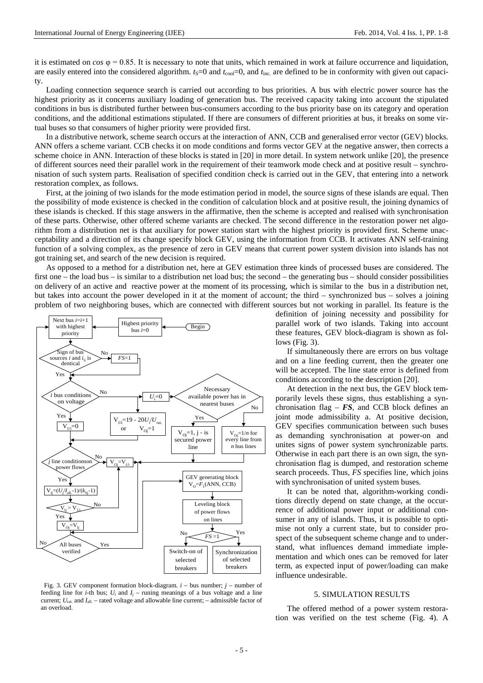it is estimated on  $\cos \varphi = 0.85$ . It is necessary to note that units, which remained in work at failure occurrence and liquidation, are easily entered into the considered algorithm.  $t_s=0$  and  $t_{\text{cool}}=0$ , and  $t_{\text{inc}}$  are defined to be in conformity with given out capacity.

Loading connection sequence search is carried out according to bus priorities. A bus with electric power source has the highest priority as it concerns auxiliary loading of generation bus. The received capacity taking into account the stipulated conditions in bus is distributed further between bus-consumers according to the bus priority base on its category and operation conditions, and the additional estimations stipulated. If there are consumers of different priorities at bus, it breaks on some virtual buses so that consumers of higher priority were provided first.

In a distributive network, scheme search occurs at the interaction of ANN, CCB and generalised error vector (GEV) blocks. ANN offers a scheme variant. CCB checks it on mode conditions and forms vector GEV at the negative answer, then corrects a scheme choice in ANN. Interaction of these blocks is stated in [20] in more detail. In system network unlike [20], the presence of different sources need their parallel work in the requirement of their teamwork mode check and at positive result – synchronisation of such system parts. Realisation of specified condition check is carried out in the GEV, that entering into a network restoration complex, as follows.

First, at the joining of two islands for the mode estimation period in model, the source signs of these islands are equal. Then the possibility of mode existence is checked in the condition of calculation block and at positive result, the joining dynamics of these islands is checked. If this stage answers in the affirmative, then the scheme is accepted and realised with synchronisation of these parts. Otherwise, other offered scheme variants are checked. The second difference in the restoration power net algorithm from a distribution net is that auxiliary for power station start with the highest priority is provided first. Scheme unacceptability and a direction of its change specify block GEV, using the information from CCB. It activates ANN self-training function of a solving complex, as the presence of zero in GEV means that current power system division into islands has not got training set, and search of the new decision is required.

As opposed to a method for a distribution net, here at GEV estimation three kinds of processed buses are considered. The first one – the load bus – is similar to a distribution net load bus; the second – the generating bus – should consider possibilities on delivery of an active and reactive power at the moment of its processing, which is similar to the bus in a distribution net, but takes into account the power developed in it at the moment of account; the third – synchronized bus – solves a joining problem of two neighboring buses, which are connected with different sources but not working in parallel. Its feature is the



 Fig. 3. GEV component formation block-diagram. *i* – bus number; *j* – number of feeding line for *i*-th bus;  $U_i$  and  $I_j$  – runing meanings of a bus voltage and a line current;  $U_{\text{rat}}$  and  $I_{\text{all}}$  – rated voltage and allowable line current; – admissible factor of an overload.

definition of joining necessity and possibility for parallel work of two islands. Taking into account these features, GEV block-diagram is shown as follows (Fig. 3).

If simultaneously there are errors on bus voltage and on a line feeding current, then the greater one will be accepted. The line state error is defined from conditions according to the description [20].

At detection in the next bus, the GEV block temporarily levels these signs, thus establishing a synchronisation flag –  $FS$ , and CCB block defines an joint mode admissibility a. At positive decision, GEV specifies communication between such buses as demanding synchronisation at power-on and unites signs of power system synchronizable parts. Otherwise in each part there is an own sign, the synchronisation flag is dumped, and restoration scheme search proceeds. Thus, *FS* specifies line, which joins with synchronisation of united system buses.

It can be noted that, algorithm-working conditions directly depend on state change, at the occurrence of additional power input or additional consumer in any of islands. Thus, it is possible to optimise not only a current state, but to consider prospect of the subsequent scheme change and to understand, what influences demand immediate implementation and which ones can be removed for later term, as expected input of power/loading can make influence undesirable.

#### 5. SIMULATION RESULTS

The offered method of a power system restoration was verified on the test scheme (Fig. 4). A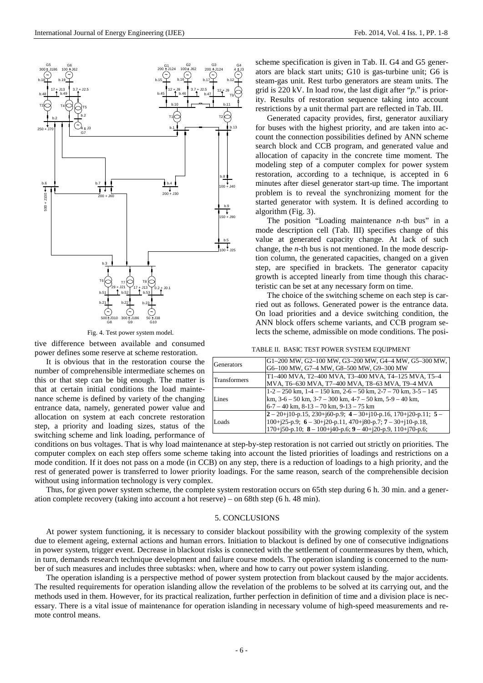

Fig. 4. Test power system model.

tive difference between available and consumed power defines some reserve at scheme restoration.

It is obvious that in the restoration course the number of comprehensible intermediate schemes on this or that step can be big enough. The matter is that at certain initial conditions the load maintenance scheme is defined by variety of the changing entrance data, namely, generated power value and allocation on system at each concrete restoration step, a priority and loading sizes, status of the switching scheme and link loading, performance of

scheme specification is given in Tab. II. G4 and G5 generators are black start units; G10 is gas-turbine unit; G6 is steam-gas unit. Rest turbo generators are steam units. The grid is 220 kV. In load row, the last digit after "*p*." is priority. Results of restoration sequence taking into account restrictions by a unit thermal part are reflected in Tab. III.

Generated capacity provides, first, generator auxiliary for buses with the highest priority, and are taken into account the connection possibilities defined by ANN scheme search block and CCB program, and generated value and allocation of capacity in the concrete time moment. The modeling step of a computer complex for power system restoration, according to a technique, is accepted in 6 minutes after diesel generator start-up time. The important problem is to reveal the synchronizing moment for the started generator with system. It is defined according to algorithm (Fig. 3).

The position "Loading maintenance *n-*th bus" in a mode description cell (Tab. III) specifies change of this value at generated capacity change. At lack of such change, the *n-*th bus is not mentioned. In the mode description column, the generated capacities, changed on a given step, are specified in brackets. The generator capacity growth is accepted linearly from time though this characteristic can be set at any necessary form on time.

The choice of the switching scheme on each step is carried out as follows. Generated power is the entrance data. On load priorities and a device switching condition, the ANN block offers scheme variants, and ССВ program selects the scheme, admissible on mode conditions. The posi-

|  |  | TABLE II. BASIC TEST POWER SYSTEM EQUIPMENT |  |  |
|--|--|---------------------------------------------|--|--|
|--|--|---------------------------------------------|--|--|

| <b>Generators</b>   | G1-200 MW, G2-100 MW, G3-200 MW, G4-4 MW, G5-300 MW,<br>G6-100 MW, G7-4 MW, G8-500 MW, G9-300 MW                                                                                                            |
|---------------------|-------------------------------------------------------------------------------------------------------------------------------------------------------------------------------------------------------------|
| <b>Transformers</b> | T1-400 MVA, T2-400 MVA, T3-400 MVA, T4-125 MVA, T5-4<br>MVA, T6-630 MVA, T7-400 MVA, T8-63 MVA, T9-4 MVA                                                                                                    |
| Lines               | $1-2-250$ km, $1-4-150$ km, $2-6-50$ km, $2-7-70$ km, $3-5-145$<br>km, $3-6-50$ km, $3-7-300$ km, $4-7-50$ km, $5-9-40$ km,<br>$6-7-40$ km, $8-13-70$ km, $9-13-75$ km                                      |
| Loads               | $2-20+10-p.15$ , 230+160-p.9; 4 - 30+10-p.16, 170+120-p.11; 5 -<br>100+j25-p.9; $6 - 30+$ j20-p.11, 470+j80-p.7; $7 - 30+$ j10-p.18,<br>$170+j50-p.10$ ; $8-100+j40-p.6$ ; $9-40+j20-p.9$ , $110+j70-p.6$ ; |

conditions on bus voltages. That is why load maintenance at step-by-step restoration is not carried out strictly on priorities. The computer complex on each step offers some scheme taking into account the listed priorities of loadings and restrictions on a mode condition. If it does not pass on a mode (in CCB) on any step, there is a reduction of loadings to a high priority, and the rest of generated power is transferred to lower priority loadings. For the same reason, search of the comprehensible decision without using information technology is very complex.

Thus, for given power system scheme, the complete system restoration occurs on 65th step during 6 h. 30 min. and a generation complete recovery (taking into account a hot reserve) – on 68th step (6 h. 48 min).

## 5. CONCLUSIONS

At power system functioning, it is necessary to consider blackout possibility with the growing complexity of the system due to element ageing, external actions and human errors. Initiation to blackout is defined by one of consecutive indignations in power system, trigger event. Decrease in blackout risks is connected with the settlement of countermeasures by them, which, in turn, demands research technique development and failure course models. The operation islanding is concerned to the number of such measures and includes three subtasks: when, where and how to carry out power system islanding.

The operation islanding is a perspective method of power system protection from blackout caused by the major accidents. The resulted requirements for operation islanding allow the revelation of the problems to be solved at its carrying out, and the methods used in them. However, for its practical realization, further perfection in definition of time and a division place is necessary. There is a vital issue of maintenance for operation islanding in necessary volume of high-speed measurements and remote control means.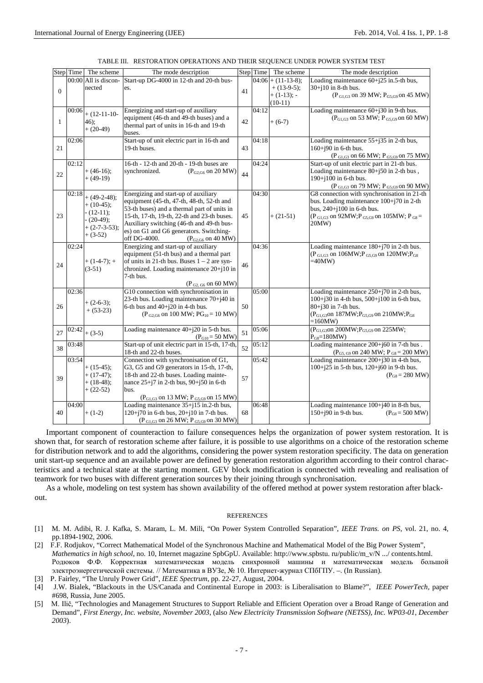|                  | Step Time | The scheme           | The mode description                                        |    | Step Time | The scheme           | The mode description                                                        |
|------------------|-----------|----------------------|-------------------------------------------------------------|----|-----------|----------------------|-----------------------------------------------------------------------------|
|                  |           | 00:00 All is discon- | Start-up DG-4000 in 12-th and 20-th bus-                    |    |           | $04:06 + (11-13-8);$ | Loading maintenance 60+j25 in.5-th bus,                                     |
|                  |           | nected               | es.                                                         |    |           | $+ (13-9-5);$        | $30+j10$ in 8-th bus.                                                       |
| $\boldsymbol{0}$ |           |                      |                                                             | 41 |           | $+ (1-13); -$        | $(P_{GLG3}$ on 39 MW; $P_{GSG9}$ on 45 MW)                                  |
|                  |           |                      |                                                             |    |           | $(10-11)$            |                                                                             |
|                  | 00:06     |                      | Energizing and start-up of auxiliary                        |    | 04:12     |                      | Loading maintenance $60+j30$ in 9-th bus.                                   |
|                  |           | $+$ (12-11-10-       | equipment (46-th and 49-th buses) and a                     |    |           |                      | $(P_{G1,G3}$ on 53 MW; $P_{G5,G9}$ on 60 MW)                                |
| $\mathbf{1}$     |           | 46);                 | thermal part of units in 16-th and 19-th                    | 42 |           | $+(6-7)$             |                                                                             |
|                  |           | $+(20-49)$           | buses.                                                      |    |           |                      |                                                                             |
|                  | 02:06     |                      | Start-up of unit electric part in 16-th and                 |    | 04:18     |                      | Loading maintenance $55+j35$ in 2-th bus,                                   |
| 21               |           |                      | 19-th buses.                                                | 43 |           |                      | 160+j90 in 6-th bus.                                                        |
|                  |           |                      |                                                             |    |           |                      |                                                                             |
|                  |           |                      | 16-th - 12-th and 20-th - 19-th buses are                   |    | 04:24     |                      | ( $P_{\text{G1,G3}}$ on 66 MW; $P_{\text{G5,G9}}$ on 75 MW)                 |
|                  | 02:12     | $+ (46-16)$ ;        |                                                             |    |           |                      | Start-up of unit electric part in 21-th bus.                                |
| 22               |           |                      | synchronized.<br>$(P_{G2,G6}$ on 20 MW)                     | 44 |           |                      | Loading maintenance $80+j50$ in 2-th bus,                                   |
|                  |           | $+ (49-19)$          |                                                             |    |           |                      | 190+j100 in 6-th bus.                                                       |
|                  |           |                      |                                                             |    |           |                      | ( $P_{\text{G1,G3}}$ on 79 MW; $P_{\text{G5,G9}}$ on 90 MW)                 |
|                  | 02:18     | $+ (49-2-48);$       | Energizing and start-up of auxiliary                        |    | 04:30     |                      | G8 connection with synchronisation in 21-th                                 |
|                  |           | $+ (10-45);$         | equipment (45-th, 47-th, 48-th, 52-th and                   |    |           |                      | bus. Loading maintenance $100+j70$ in 2-th                                  |
| 23               |           | $- (12-11);$         | 53-th buses) and a thermal part of units in                 |    |           |                      | bus, $240+j100$ in 6-th bus.                                                |
|                  |           | $-(20-49);$          | 15-th, 17-th, 19-th, 22-th and 23-th buses.                 | 45 |           | $+(21-51)$           | $(P_{\text{G1,G3}}$ on 92MW; $P_{\text{G5,G9}}$ on 105MW; $P_{\text{G8}} =$ |
|                  |           | $+(2-7-3-53);$       | Auxiliary switching (46-th and 49-th bus-                   |    |           |                      | 20MW)                                                                       |
|                  |           | $+(3-52)$            | es) on G1 and G6 generators. Switching-                     |    |           |                      |                                                                             |
|                  |           |                      | off DG-4000.<br>$(P_{G2,G6}$ on 40 MW)                      |    |           |                      |                                                                             |
|                  | 02:24     |                      | Energizing and start-up of auxiliary                        |    | 04:36     |                      | Loading maintenance $180+170$ in 2-th bus.                                  |
|                  |           |                      | equipment (51-th bus) and a thermal part                    |    |           |                      | ( $P_{G1,G3}$ on 106MW; $P_{G5,G9}$ on 120MW; $P_{G8}$                      |
| 24               |           | $+ (1-4-7); +$       | of units in 21-th bus. Buses $1 - 2$ are syn-               | 46 |           |                      | =40MW)                                                                      |
|                  |           | $(3-51)$             | chronized. Loading maintenance 20+j10 in                    |    |           |                      |                                                                             |
|                  |           |                      | 7-th bus.                                                   |    |           |                      |                                                                             |
|                  |           |                      | $(P_{G2, G6}$ on 60 MW)                                     |    |           |                      |                                                                             |
|                  | 02:36     |                      | G10 connection with synchronisation in                      |    | 05:00     |                      | Loading maintenance $250+j70$ in 2-th bus,                                  |
|                  |           | $+(2-6-3);$          | 23-th bus. Loading maintenance 70+j40 in                    |    |           |                      | 100+j30 in 4-th bus, 500+j100 in 6-th bus,                                  |
| 26               |           | $+ (53-23)$          | 6-th bus and $40+$ j $20$ in 4-th bus.                      | 50 |           |                      | $80 + j30$ in 7-th bus.                                                     |
|                  |           |                      | $(P_{G2,G6}$ on 100 MW; $PG_{10} = 10$ MW)                  |    |           |                      | ( $P_{G1,G3}$ on 187MW; $P_{G5,G9}$ on 210MW; $P_{G8}$                      |
|                  | 02:42     |                      |                                                             |    | 05:06     |                      | =160MW)<br>( $P_{G1,G3}$ on 200MW; $P_{G5,G9}$ on 225MW;                    |
| 27               |           | $+(3-5)$             | Loading maintenance 40+j20 in 5-th bus.                     | 51 |           |                      |                                                                             |
|                  |           |                      | $(P_{G10} = 50 \text{ MW})$                                 |    |           |                      | $P_{G8} = 180MW$                                                            |
| 38               | 03:48     |                      | Start-up of unit electric part in 15-th, 17-th,             | 52 | 05:12     |                      | Loading maintenance 200+j60 in 7-th bus.                                    |
|                  |           |                      | 18-th and 22-th buses.                                      |    | 05:42     |                      | $(P_{G5, G9}$ on 240 MW; $P_{G8} = 200$ MW)                                 |
|                  | 03:54     |                      | Connection with synchronisation of G1,                      |    |           |                      | Loading maintenance 200+j30 in 4-th bus,                                    |
| 39               |           | $+ (15-45);$         | G3, G5 and G9 generators in 15-th, 17-th,                   |    |           |                      | 100+j25 in 5-th bus, 120+j60 in 9-th bus.<br>$(P_{GS} = 280 \text{ MW})$    |
|                  |           | $+ (17-47);$         | 18-th and 22-th buses. Loading mainte-                      | 57 |           |                      |                                                                             |
|                  |           | $+ (18-48);$         | nance $25+j7$ in 2-th bus, $90+j50$ in 6-th<br>bus.         |    |           |                      |                                                                             |
|                  |           | $+(22-52)$           |                                                             |    |           |                      |                                                                             |
|                  |           |                      | $(P_{G1,G3}$ on 13 MW; $P_{G5,G9}$ on 15 MW)                |    | 06:48     |                      |                                                                             |
| 40               | 04:00     |                      | Loading maintenance 35+j15 in.2-th bus,                     | 68 |           |                      | Loading maintenance 100+j40 in 8-th bus,<br>$(P_{GS} = 500 \text{ MW})$     |
|                  |           | $+(1-2)$             | 120+j70 in 6-th bus, 20+j10 in 7-th bus.                    |    |           |                      | 150+j90 in 9-th bus.                                                        |
|                  |           |                      | ( $P_{\text{G1,G3}}$ on 26 MW; $P_{\text{G5,G9}}$ on 30 MW) |    |           |                      |                                                                             |

Important component of counteraction to failure consequences helps the organization of power system restoration. It is shown that, for search of restoration scheme after failure, it is possible to use algorithms on a choice of the restoration scheme for distribution network and to add the algorithms, considering the power system restoration specificity. The data on generation unit start-up sequence and an available power are defined by generation restoration algorithm according to their control characteristics and a technical state at the starting moment. GEV block modification is connected with revealing and realisation of teamwork for two buses with different generation sources by their joining through synchronisation.

As a whole, modeling on test system has shown availability of the offered method at power system restoration after blackout.

#### **REFERENCES**

- [1] M. M. Adibi, R. J. Kafka, S. Maram, L. M. Mili, "On Power System Controlled Separation", *IEEE Trans. on PS*, vol. 21, no. 4, pp.1894-1902, 2006.
- [2] F.F. Rodjukov, "Correct Mathematical Model of the Synchronous Machine and Mathematical Model of the Big Power System", *Mathematics in high school*, no. 10, Internet magazine SpbGpU. Available: http://www.spbstu. ru/public/m\_v/N .../ contents.html. Родюков Ф.Ф. Корректная математическая модель синхронной машины и математическая модель большой электроэнергетической системы. // Математика в ВУЗе, № 10. Интернет-журнал СПбГПУ. –. (In Russian).
- [3] P. Fairley, "The Unruly Power Grid", *IEEE Spectrum*, pp. 22-27, August, 2004.
- [4] J.W. Bialek, "Blackouts in the US/Canada and Continental Europe in 2003: is Liberalisation to Blame?", *IEEE PowerTech,* paper #698, Russia, June 2005.
- [5] M. Ilič, "Technologies and Management Structures to Support Reliable and Efficient Operation over a Broad Range of Generation and Demand", *First Energy, Inc. website, November 2003*, (also *New Electricity Transmission Software (NETSS), Inc. WP03-01, December 2003*).